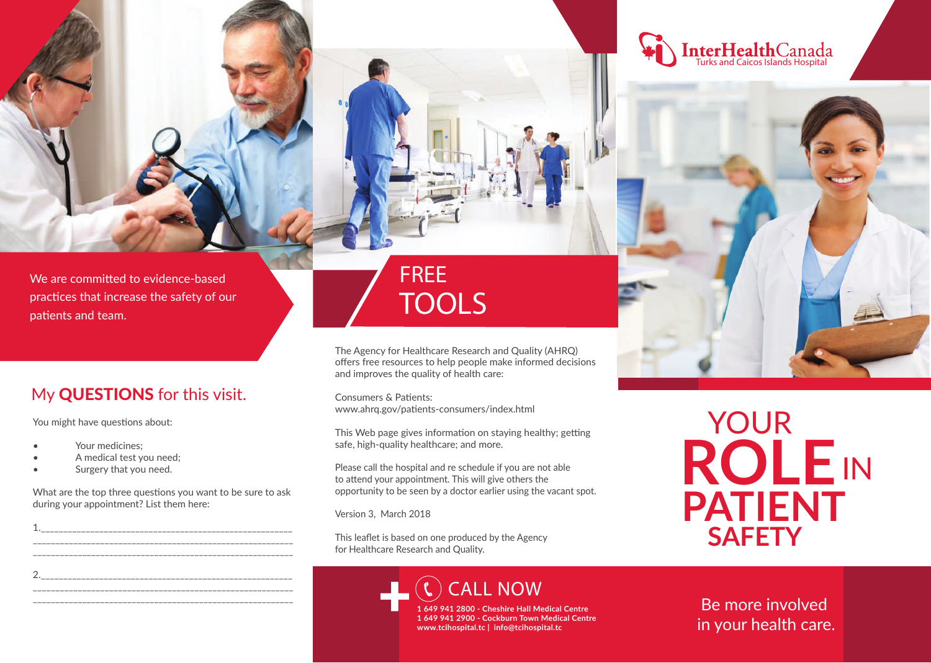



**PATIENT ROLE** YOUR IN **SAFETY**

Be more involved in your health care.

We are committed to evidence-based practices that increase the safety of our patients and team.

#### My QUESTIONS for this visit.

You might have questions about:

- Your medicines:
- A medical test you need;
- Surgery that you need.

What are the top three questions you want to be sure to ask during your appointment? List them here:



FREE **TOOLS**

The Agency for Healthcare Research and Quality (AHRQ) offers free resources to help people make informed decisions and improves the quality of health care:

Consumers & Patients: www.ahrq.gov/patients-consumers/index.html

This Web page gives information on staying healthy; getting safe, high-quality healthcare; and more.

Please call the hospital and re schedule if you are not able to attend your appointment. This will give others the opportunity to be seen by a doctor earlier using the vacant spot.

Version 3, March 2018

This leaflet is based on one produced by the Agency for Healthcare Research and Quality.

> **CALL NOW 1 649 941 2800 - Cheshire Hall Medical Centre 1 649 941 2900 - Cockburn Town Medical Centre** +

**www.tcihospital.tc | info@tcihospital.tc**